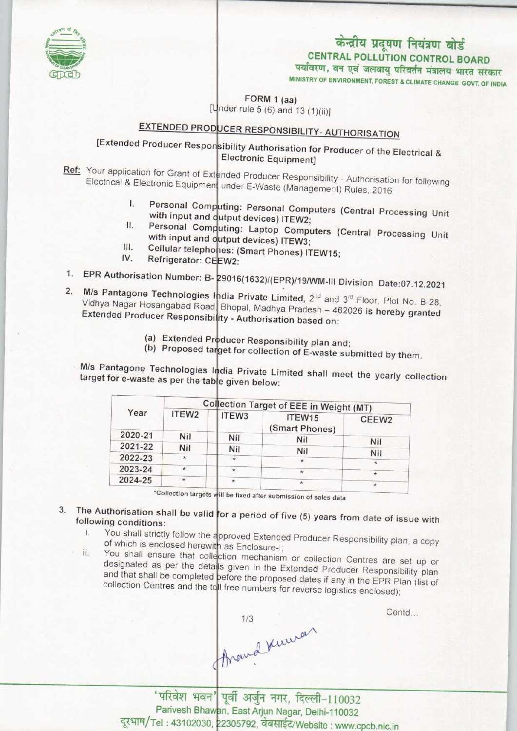

## केन्द्रीय प्रदूषण नियंत्रण बोर्ड **CENTRAL POLLUTION CONTROL BOARD** पर्यावरण, वन एवं जलवायु परिवर्तन मंत्रालय भारत सरकार

MINISTRY OF ENVIRONMENT, FOREST & CLIMATE CHANGE GOVT. OF INDIA

FORM 1 (aa) [Under rule 5 (6) and 13 (1)(ii)]

## EXTENDED PRODUCER RESPONSIBILITY- AUTHORISATION

[Extended Producer Responsibility Authorisation for Producer of the Electrical & **Electronic Equipment]** 

Ref: Your application for Grant of Extended Producer Responsibility - Authorisation for following Electrical & Electronic Equipment under E-Waste (Management) Rules, 2016

- Personal Computing: Personal Computers (Central Processing Unit I. with input and output devices) ITEW2;  $II.$
- Personal Computing: Laptop Computers (Central Processing Unit with input and output devices) ITEW3; Ш.
- Cellular telephones: (Smart Phones) ITEW15; IV.
- Refrigerator: CEEW2:
- 1. EPR Authorisation Number: B-29016(1632)/(EPR)/19/WM-III Division Date:07.12.2021
- $2.$ M/s Pantagone Technologies India Private Limited, 2<sup>nd</sup> and 3<sup>rd</sup> Floor, Plot No. B-28, Vidhya Nagar Hosangabad Road Bhopal, Madhya Pradesh - 462026 is hereby granted Extended Producer Responsibility - Authorisation based on:
	- (a) Extended Producer Responsibility plan and;
	- (b) Proposed target for collection of E-waste submitted by them.

M/s Pantagone Technologies India Private Limited shall meet the yearly collection target for e-waste as per the table given below:

| Year    |                   | Collection Target of EEE in Weight (MT) |                                                   |  |
|---------|-------------------|-----------------------------------------|---------------------------------------------------|--|
|         | ITEW3             | ITEW15                                  | CEEW <sub>2</sub>                                 |  |
| Nil     | Nil               |                                         | Nil                                               |  |
| Nil     | Nil               |                                         |                                                   |  |
| $\ast$  | $\star$           |                                         | Nil<br>$\star$                                    |  |
| $\star$ | ٠                 |                                         |                                                   |  |
| $\star$ | $\ast$            |                                         | $\star$<br>ŵ.                                     |  |
|         | ITEW <sub>2</sub> |                                         | (Smart Phones)<br>Nil<br>Nil<br>*<br>$\star$<br>÷ |  |

\*Collection targets will be fixed after submission of sales data

- 3. The Authorisation shall be valid for a period of five  $(5)$  years from date of issue with following conditions:
	- You shall strictly follow the approved Extended Producer Responsibility plan, a copy ï. of which is enclosed herewith as Enclosure-I; ii.
	- You shall ensure that collection mechanism or collection Centres are set up or designated as per the detalls given in the Extended Producer Responsibility plan and that shall be completed pefore the proposed dates if any in the EPR Plan (list of collection Centres and the to Il free numbers for reverse logistics enclosed);

Around Kuman

Contd...

'परिवेश भवन' पूर्वी अर्जुन नगर, दिल्ली-110032 Parivesh Bhawan, East Arjun Nagar, Delhi-110032 दूरभाष/Tel: 43102030, 22305792, वेबसाईट/Website: www.cpcb.nic.in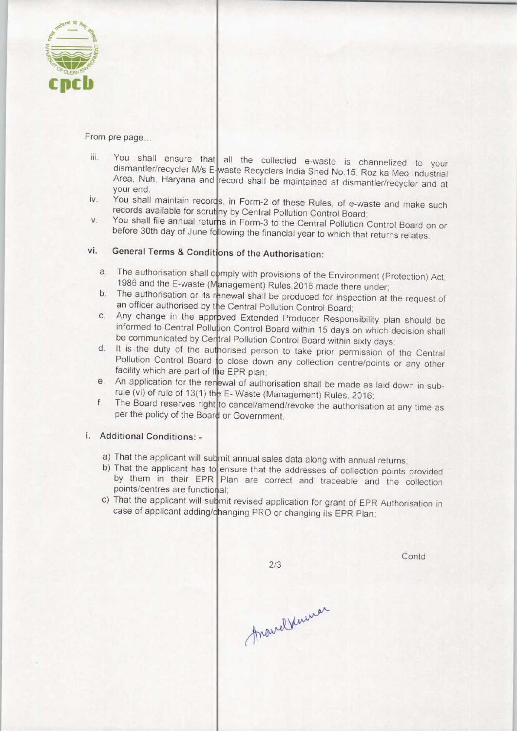

From pre page...

- You shall ensure that all the collected e-waste is channelized to your dismantler/recycler M/s E-waste Recyclers India Shed No.15, Roz ka Meo Industrial Area, Nuh, Haryana and record shall be maintained at dismantler/recycler and at your end. iii.
- You shall maintain records, in Form-2 of these Rules, of e-waste and make such iv. records available for scrutiny by Central Pollution Control Board
- You shall file annual returns in Form-3 to the Central Pollution Control Board on or V. before 30th day of June following the financial year to which that returns relates.

## **General Terms & Conditions of the Authorisation:** vi.

- The authorisation shall comply with provisions of the Environment (Protection) Act 1986 and the E-waste (Management) Rules, 2016 made there under
- b. The authorisation or its renewal shall be produced for inspection at the request of an officer authorised by the Central Pollution Control Board
- Any change in the approved Extended Producer Responsibility plan should be informed to Central Pollution Control Board within 15 days on which decision shall be communicated by Central Pollution Control Board within sixty days.
- d. It is the duty of the authorised person to take prior permission of the Central Pollution Control Board to close down any collection centre/points or any other facility which are part of the EPR plan;
- facility which are part of the EPR plan;<br>e. An application for the renewal of authorisation shall be made as laid down in subrule (vi) of rule of 13(1) the E-Waste (Management) Rules, 2016 e. All application for the renewal or authorisation shall be made as laid down in sub-<br>rule (vi) of rule of 13(1) the E-Waste (Management) Rules, 2016;<br>f. The Board reserves right to cancel/amend/revoke the authorisation a
- per the policy of the Board or Government

## i. Additional Conditions: -

- a) That the applicant will submit annual sales data along with annual returns;
- b) That the applicant has to ensure that the addresses of collection points provided by them in their EPR Plan are correct and traceable and the collection points/centres are functional;
- c) That the applicant will submit revised application for grant of EPR Authorisation in case of applicant adding/changing PRO or changing its EPR Plan

AnavelVenmar

 $2/3$ 

Contd